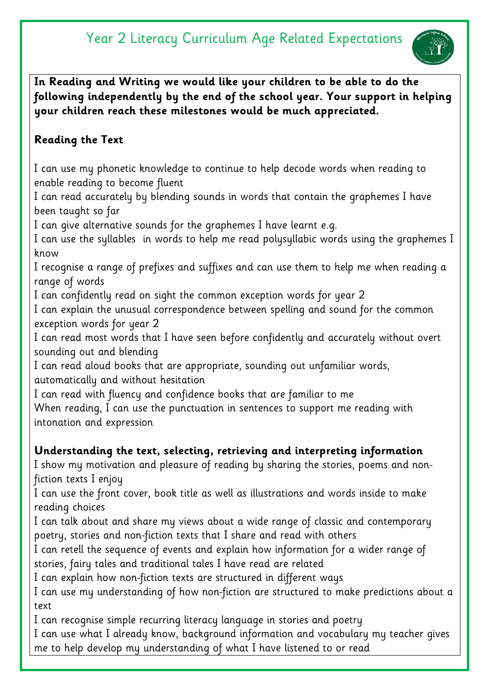

**In Reading and Writing we would like your children to be able to do the following independently by the end of the school year. Your support in helping your children reach these milestones would be much appreciated.** 

### **Reading the Text**

I can use my phonetic knowledge to continue to help decode words when reading to enable reading to become fluent

I can read accurately by blending sounds in words that contain the graphemes I have been taught so far

I can give alternative sounds for the graphemes I have learnt e.g.

I can use the syllables in words to help me read polysyllabic words using the graphemes I know

I recognise a range of prefixes and suffixes and can use them to help me when reading a range of words

I can confidently read on sight the common exception words for year 2

I can explain the unusual correspondence between spelling and sound for the common exception words for year 2

I can read most words that I have seen before confidently and accurately without overt sounding out and blending

I can read aloud books that are appropriate, sounding out unfamiliar words, automatically and without hesitation

I can read with fluency and confidence books that are familiar to me

When reading, I can use the punctuation in sentences to support me reading with intonation and expression

#### **Understanding the text, selecting, retrieving and interpreting information**

I show my motivation and pleasure of reading by sharing the stories, poems and nonfiction texts I enjoy

I can use the front cover, book title as well as illustrations and words inside to make reading choices

I can talk about and share my views about a wide range of classic and contemporary poetry, stories and non-fiction texts that I share and read with others

I can retell the sequence of events and explain how information for a wider range of stories, fairy tales and traditional tales I have read are related

I can explain how non-fiction texts are structured in different ways

I can use my understanding of how non-fiction are structured to make predictions about a text

I can recognise simple recurring literacy language in stories and poetry I can use what I already know, background information and vocabulary my teacher gives me to help develop my understanding of what I have listened to or read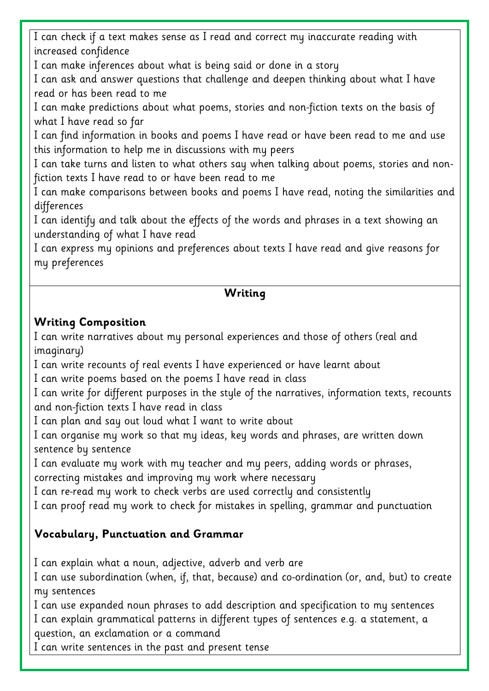I can check if a text makes sense as I read and correct my inaccurate reading with increased confidence

I can make inferences about what is being said or done in a story

I can ask and answer questions that challenge and deepen thinking about what I have read or has been read to me

I can make predictions about what poems, stories and non-fiction texts on the basis of what I have read so far

I can find information in books and poems I have read or have been read to me and use this information to help me in discussions with my peers

I can take turns and listen to what others say when talking about poems, stories and nonfiction texts I have read to or have been read to me

I can make comparisons between books and poems I have read, noting the similarities and differences

I can identify and talk about the effects of the words and phrases in a text showing an understanding of what I have read

I can express my opinions and preferences about texts I have read and give reasons for my preferences

#### **Writing**

#### **Writing Composition**

I can write narratives about my personal experiences and those of others (real and imaginary)

I can write recounts of real events I have experienced or have learnt about

I can write poems based on the poems I have read in class

I can write for different purposes in the style of the narratives, information texts, recounts and non-fiction texts I have read in class

I can plan and say out loud what I want to write about

I can organise my work so that my ideas, key words and phrases, are written down sentence by sentence

I can evaluate my work with my teacher and my peers, adding words or phrases,

correcting mistakes and improving my work where necessary

I can re-read my work to check verbs are used correctly and consistently

I can proof read my work to check for mistakes in spelling, grammar and punctuation

## **Vocabulary, Punctuation and Grammar**

I can explain what a noun, adjective, adverb and verb are

I can use subordination (when, if, that, because) and co-ordination (or, and, but) to create my sentences

I can use expanded noun phrases to add description and specification to my sentences I can explain grammatical patterns in different types of sentences e.g. a statement, a question, an exclamation or a command

I can write sentences in the past and present tense